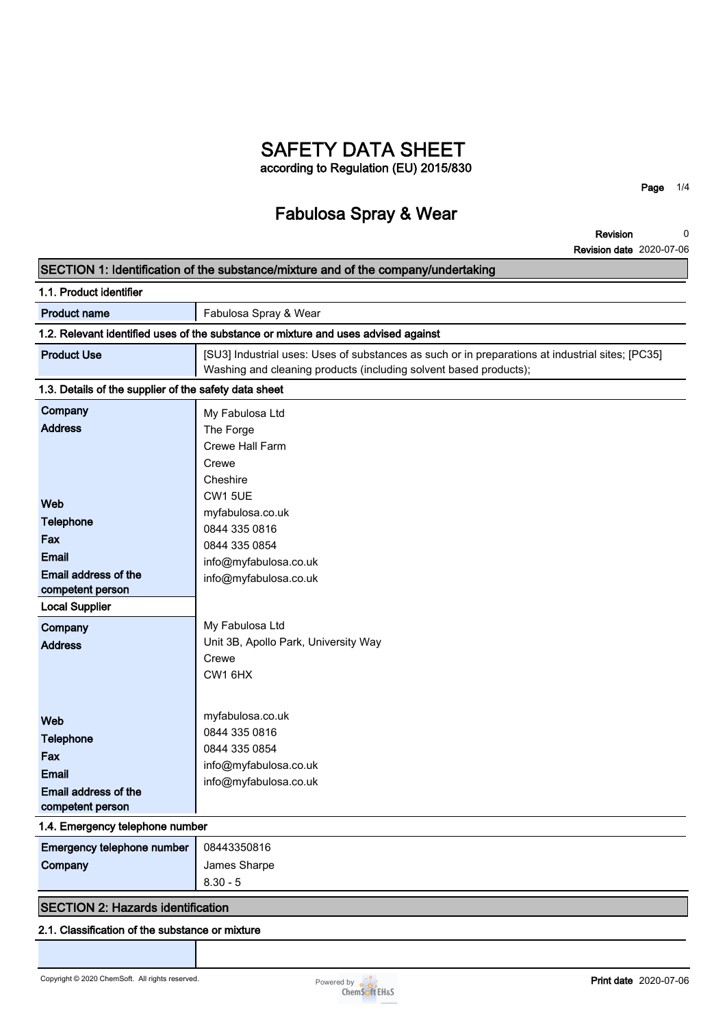# **SAFETY DATA SHEET according to Regulation (EU) 2015/830**

# **Fabulosa Spray & Wear**

**Page 1/4**

**Revision Revision date 2020-07-06 0**

| SECTION 1: Identification of the substance/mixture and of the company/undertaking                                                                                             |                                                                                                                                                                                                                                                                                                       |  |
|-------------------------------------------------------------------------------------------------------------------------------------------------------------------------------|-------------------------------------------------------------------------------------------------------------------------------------------------------------------------------------------------------------------------------------------------------------------------------------------------------|--|
| 1.1. Product identifier                                                                                                                                                       |                                                                                                                                                                                                                                                                                                       |  |
| <b>Product name</b>                                                                                                                                                           | Fabulosa Spray & Wear                                                                                                                                                                                                                                                                                 |  |
|                                                                                                                                                                               | 1.2. Relevant identified uses of the substance or mixture and uses advised against                                                                                                                                                                                                                    |  |
| <b>Product Use</b>                                                                                                                                                            | [SU3] Industrial uses: Uses of substances as such or in preparations at industrial sites; [PC35]<br>Washing and cleaning products (including solvent based products);                                                                                                                                 |  |
| 1.3. Details of the supplier of the safety data sheet                                                                                                                         |                                                                                                                                                                                                                                                                                                       |  |
| Company<br><b>Address</b><br>Web<br><b>Telephone</b><br>Fax<br><b>Email</b><br>Email address of the<br>competent person<br><b>Local Supplier</b><br>Company<br><b>Address</b> | My Fabulosa Ltd<br>The Forge<br>Crewe Hall Farm<br>Crewe<br>Cheshire<br><b>CW1 5UE</b><br>myfabulosa.co.uk<br>0844 335 0816<br>0844 335 0854<br>info@myfabulosa.co.uk<br>info@myfabulosa.co.uk<br>My Fabulosa Ltd<br>Unit 3B, Apollo Park, University Way<br>Crewe<br>CW <sub>1</sub> 6H <sub>X</sub> |  |
| Web<br><b>Telephone</b><br>Fax<br><b>Email</b><br>Email address of the<br>competent person<br>1.4. Emergency telephone number<br>Emergency telephone number<br>Company        | myfabulosa.co.uk<br>0844 335 0816<br>0844 335 0854<br>info@myfabulosa.co.uk<br>info@myfabulosa.co.uk<br>08443350816<br>James Sharpe<br>$8.30 - 5$                                                                                                                                                     |  |
| <b>SECTION 2: Hazards identification</b>                                                                                                                                      |                                                                                                                                                                                                                                                                                                       |  |
| 2.1. Classification of the substance or mixture                                                                                                                               |                                                                                                                                                                                                                                                                                                       |  |

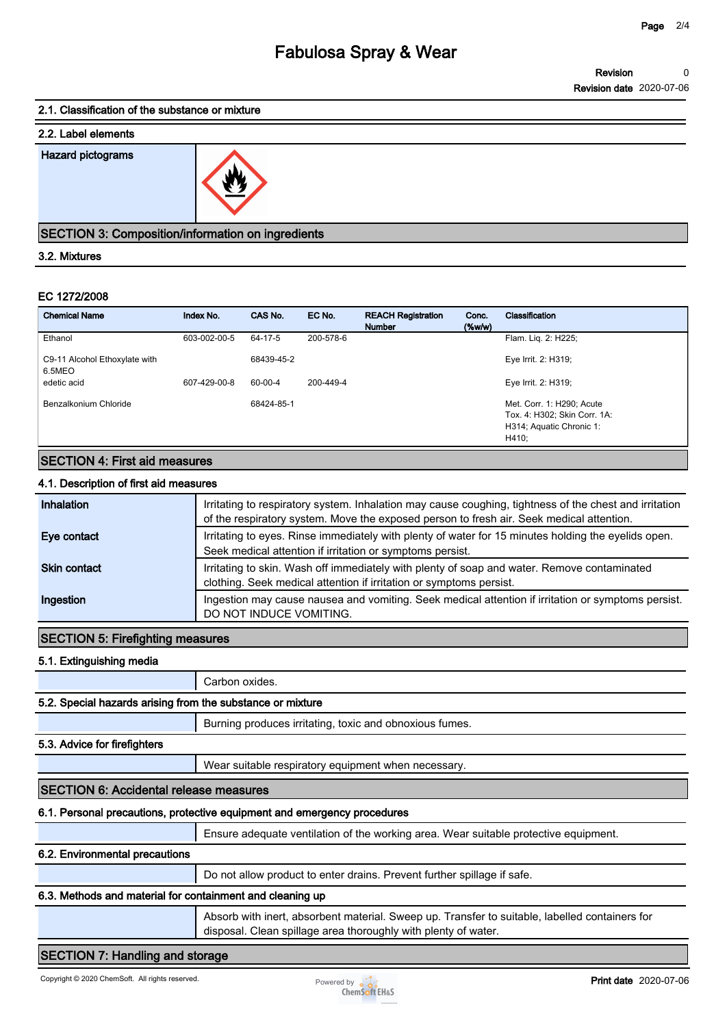# **Fabulosa Spray & Wear**

#### **2.1. Classification of the substance or mixture**

# **2.2. Label elements Hazard pictograms**



#### **SECTION 3: Composition/information on ingredients**

#### **3.2. Mixtures**

#### **EC 1272/2008**

|                                                          | <u>27</u>    |            |           |                                            |                    |                                                                                                |
|----------------------------------------------------------|--------------|------------|-----------|--------------------------------------------|--------------------|------------------------------------------------------------------------------------------------|
| <b>SECTION 3: Composition/information on ingredients</b> |              |            |           |                                            |                    |                                                                                                |
| 3.2. Mixtures                                            |              |            |           |                                            |                    |                                                                                                |
| EC 1272/2008                                             |              |            |           |                                            |                    |                                                                                                |
| <b>Chemical Name</b>                                     | Index No.    | CAS No.    | EC No.    | <b>REACH Registration</b><br><b>Number</b> | Conc.<br>$(\%w/w)$ | Classification                                                                                 |
| Ethanol                                                  | 603-002-00-5 | 64-17-5    | 200-578-6 |                                            |                    | Flam. Liq. 2: H225;                                                                            |
| C9-11 Alcohol Ethoxylate with<br>6.5MEO                  |              | 68439-45-2 |           |                                            |                    | Eye Irrit. 2: H319;                                                                            |
| edetic acid                                              | 607-429-00-8 | 60-00-4    | 200-449-4 |                                            |                    | Eye Irrit. 2: H319;                                                                            |
| Benzalkonium Chloride                                    |              | 68424-85-1 |           |                                            |                    | Met. Corr. 1: H290; Acute<br>Tox. 4: H302; Skin Corr. 1A:<br>H314; Aquatic Chronic 1:<br>H410; |

### **SECTION 4: First aid measures**

### **4.1. Description of first aid measures**

| Inhalation          | Irritating to respiratory system. Inhalation may cause coughing, tightness of the chest and irritation<br>of the respiratory system. Move the exposed person to fresh air. Seek medical attention. |
|---------------------|----------------------------------------------------------------------------------------------------------------------------------------------------------------------------------------------------|
| Eye contact         | Irritating to eyes. Rinse immediately with plenty of water for 15 minutes holding the evelids open.<br>Seek medical attention if irritation or symptoms persist.                                   |
| <b>Skin contact</b> | Irritating to skin. Wash off immediately with plenty of soap and water. Remove contaminated<br>clothing. Seek medical attention if irritation or symptoms persist.                                 |
| Ingestion           | Ingestion may cause nausea and vomiting. Seek medical attention if irritation or symptoms persist.<br>DO NOT INDUCE VOMITING.                                                                      |

# **SECTION 5: Firefighting measures**

**5.1. Extinguishing media**

**Carbon oxides.**

#### **5.2. Special hazards arising from the substance or mixture**

**Burning produces irritating, toxic and obnoxious fumes.**

#### **5.3. Advice for firefighters**

**Wear suitable respiratory equipment when necessary.**

#### **SECTION 6: Accidental release measures**

#### **6.1. Personal precautions, protective equipment and emergency procedures**

**Ensure adequate ventilation of the working area. Wear suitable protective equipment.**

#### **6.2. Environmental precautions**

**Do not allow product to enter drains. Prevent further spillage if safe.**

# **6.3. Methods and material for containment and cleaning up**

**Absorb with inert, absorbent material. Sweep up. Transfer to suitable, labelled containers for disposal. Clean spillage area thoroughly with plenty of water.**

### **SECTION 7: Handling and storage**

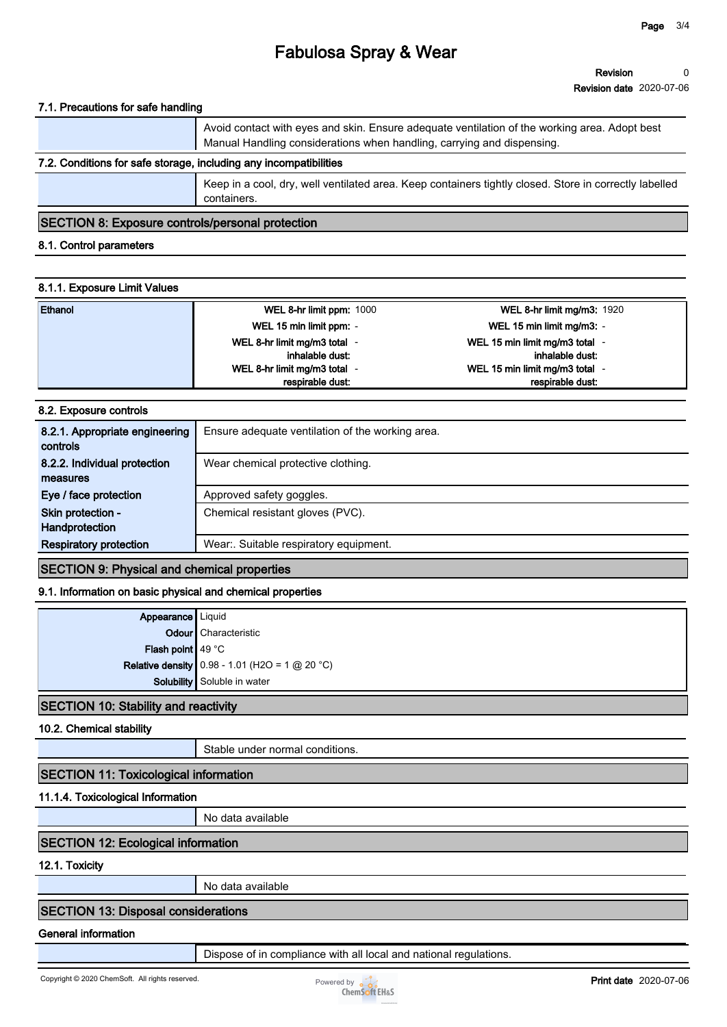# **Fabulosa Spray & Wear**

#### **7.1. Precautions for safe handling**

|                                                                   | Avoid contact with eyes and skin. Ensure adequate ventilation of the working area. Adopt best<br>Manual Handling considerations when handling, carrying and dispensing. |  |
|-------------------------------------------------------------------|-------------------------------------------------------------------------------------------------------------------------------------------------------------------------|--|
| 7.2. Conditions for safe storage, including any incompatibilities |                                                                                                                                                                         |  |
|                                                                   |                                                                                                                                                                         |  |

**Keep in a cool, dry, well ventilated area. Keep containers tightly closed. Store in correctly labelled containers.**

#### **SECTION 8: Exposure controls/personal protection**

#### **8.1. Control parameters**

#### **8.1.1. Exposure Limit Values**

| Ethanol | WEL 8-hr limit ppm: 1000   | <b>WEL 8-hr limit mg/m3: 1920</b> |
|---------|----------------------------|-----------------------------------|
|         | WEL 15 min limit ppm: -    | WEL 15 min limit mg/m3: -         |
|         | WEL 8-hr limit mg/m3 total | WEL 15 min limit mg/m3 total -    |
|         | inhalable dust:            | inhalable dust:                   |
|         | WEL 8-hr limit mg/m3 total | WEL 15 min limit mg/m3 total -    |
|         | respirable dust:           | respirable dust:                  |

#### **8.2. Exposure controls**

| 8.2.1. Appropriate engineering<br>controls | Ensure adequate ventilation of the working area. |
|--------------------------------------------|--------------------------------------------------|
| 8.2.2. Individual protection<br>measures   | Wear chemical protective clothing.               |
| Eye / face protection                      | Approved safety goggles.                         |
| Skin protection -<br>Handprotection        | Chemical resistant gloves (PVC).                 |
| <b>Respiratory protection</b>              | Wear:. Suitable respiratory equipment.           |

#### **SECTION 9: Physical and chemical properties**

#### **9.1. Information on basic physical and chemical properties**

|                                      | Appearance Liquid<br>Odour Characteristic               |  |
|--------------------------------------|---------------------------------------------------------|--|
|                                      |                                                         |  |
| Flash point $49 °C$                  |                                                         |  |
|                                      | <b>Relative density</b> 0.98 - 1.01 (H2O = 1 $@$ 20 °C) |  |
|                                      | Solubility Soluble in water                             |  |
| CCTIONI 40: Ctability and reach this |                                                         |  |

#### **SECTION 10: Stability and reactivity**

**10.2. Chemical stability**

**Stable under normal conditions.**

### **SECTION 11: Toxicological information**

#### **11.1.4. Toxicological Information**

**No data available**

# **SECTION 12: Ecological information**

**12.1. Toxicity**

**No data available**

#### **SECTION 13: Disposal considerations**

#### **General information**

**Dispose of in compliance with all local and national regulations.**